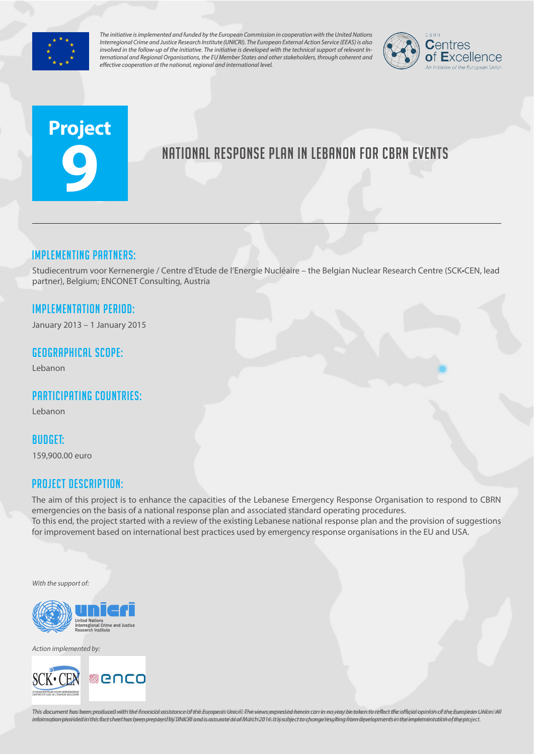

*The initiative is implemented and funded by the European Commission in cooperation with the United Nations Interregional Crime and Justice Research Institute (UNICRI). The European External Action Service (EEAS) is also involved in the follow-up of the initiative. The initiative is developed with the technical support of relevant International and Regional Organisations, the EU Member States and other stakeholders, through coherent and effective cooperation at the national, regional and international level.*



# **Project 9**

# National response plan in Lebanon for CBRN Events

## Implementing partners:

Studiecentrum voor Kernenergie / Centre d'Etude de l'Energie Nucléaire – the Belgian Nuclear Research Centre (SCK•CEN, lead partner), Belgium; ENCONET Consulting, Austria

## Implementation Period:

January 2013 – 1 January 2015

#### Geographical scope:

Lebanon

## Participating countries:

Lebanon

#### Budget:

159,900.00 euro

#### Project Description:

The aim of this project is to enhance the capacities of the Lebanese Emergency Response Organisation to respond to CBRN emergencies on the basis of a national response plan and associated standard operating procedures. To this end, the project started with a review of the existing Lebanese national response plan and the provision of suggestions for improvement based on international best practices used by emergency response organisations in the EU and USA.

*With the support of:*



*Action implemented by:*



This document has been produced with the financial assistance of the European Union. The views expressed herein can in no way be taken to reflect the official opinion of the European Union/All information provided in this fact sheet has been prepared by UNICRI and is accurate as of March 2014s It lissubject to change resulting from developments in the implementation of the project.